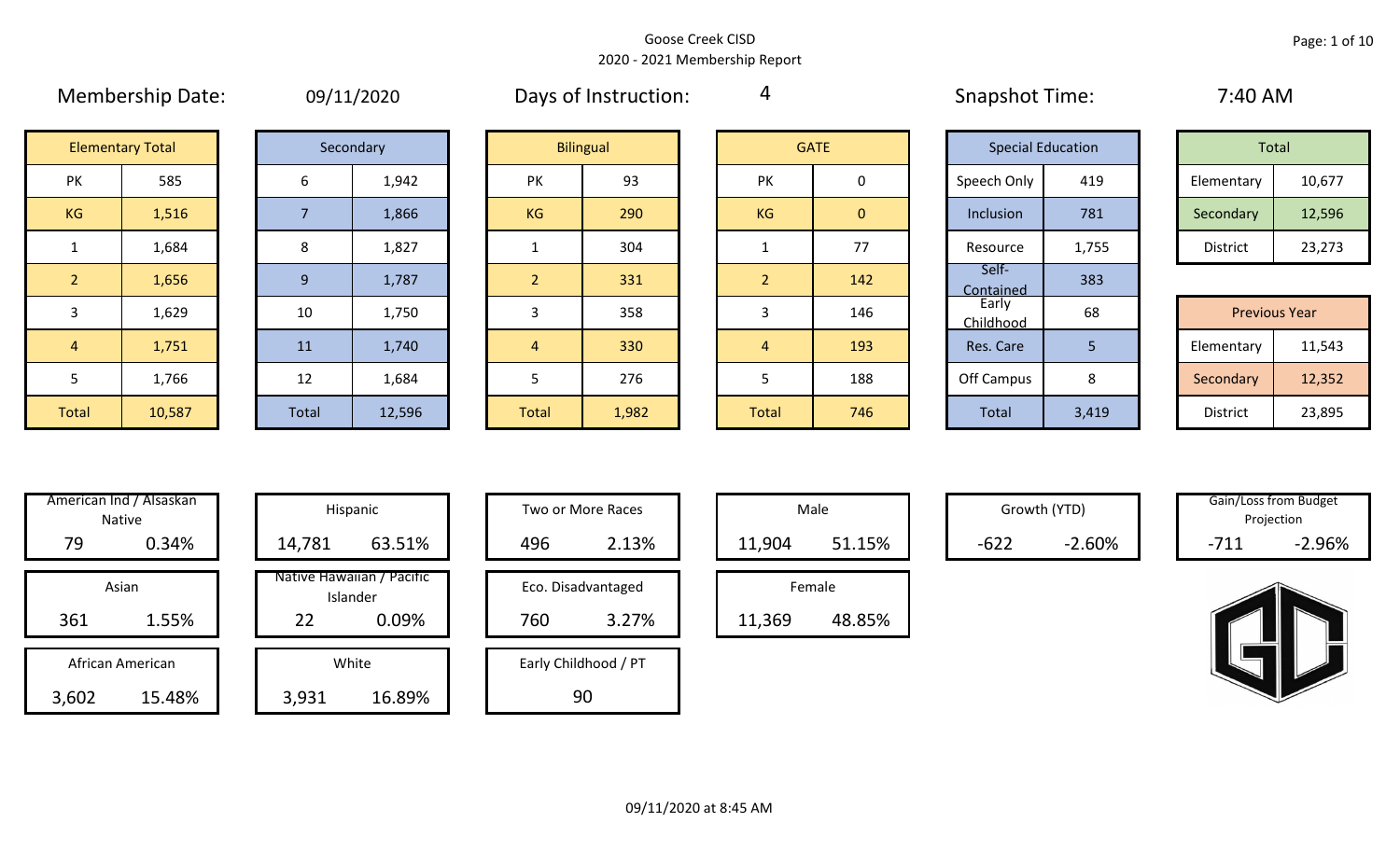|                | <b>IVICHINGIBIIID DULC.</b> |       | UU/LL/LU  |                | <b>DUYS OF HISLIGACION.</b> |                |                | <b>UNDER THILL.</b> |                          | $7.70$ $\sim$ $1.71$ |                      |
|----------------|-----------------------------|-------|-----------|----------------|-----------------------------|----------------|----------------|---------------------|--------------------------|----------------------|----------------------|
|                | <b>Elementary Total</b>     |       | Secondary |                | <b>Bilingual</b>            |                | <b>GATE</b>    |                     | <b>Special Education</b> | Total                |                      |
| PK             | 585                         | 6     | 1,942     | <b>PK</b>      | 93                          | PK             | 0              | Speech Only         | 419                      | Elementary           | 10,677               |
| KG             | 1,516                       |       | 1,866     | <b>KG</b>      | 290                         | KG             | $\overline{0}$ | Inclusion           | 781                      | Secondary            | 12,596               |
| $\mathbf{1}$   | 1,684                       | 8     | 1,827     |                | 304                         |                | 77             | Resource            | 1,755                    | District             | 23,273               |
| 2 <sup>1</sup> | 1,656                       | 9     | 1,787     |                | 331                         | 2 <sup>1</sup> | 142            | Self-<br>Contained  | 383                      |                      |                      |
| 3              | 1,629                       | 10    | 1,750     | 3              | 358                         |                | 146            | Early<br>Childhood  | 68                       |                      | <b>Previous Year</b> |
| $\overline{4}$ | 1,751                       | 11    | 1,740     | $\overline{4}$ | 330                         | 4              | 193            | Res. Care           | 5                        | Elementary           | 11,543               |
| 5              | 1,766                       | 12    | 1,684     | 5              | 276                         |                | 188            | Off Campus          | 8                        | Secondary            | 12,352               |
| Total          | 10,587                      | Total | 12,596    | Total          | 1,982                       | Total          | 746            | Total               | 3,419                    | District             | 23,895               |

| 09/11/2020 |  |
|------------|--|
|------------|--|

Membership Date: 09/11/2020 Snapshot Time: 7:40 AM Days of Instruction:

4

|                      | <b>Elementary Total</b> |  | Secondary |           | <b>Bilingual</b> |           | <b>GATE</b> | <b>Special Education</b> |       | Total      |        |
|----------------------|-------------------------|--|-----------|-----------|------------------|-----------|-------------|--------------------------|-------|------------|--------|
| ∕ו ר<br>$\mathbf{v}$ | 585                     |  | 1,942     | PK        | 93               | PK        |             | Speech Only              | 419   | Elementary | 10,677 |
| G                    | 1,516                   |  | 1,866     | <b>KG</b> | 290              | <b>KG</b> | 0           | Inclusion                | 781   | Secondary  | 12,596 |
|                      | 1,684                   |  | 1,827     |           | 304              |           | 77          | Resource                 | 1,755 | District   | 23,273 |

|                 | <b>Previous Year</b> |
|-----------------|----------------------|
| Elementary      | 11,543               |
| Secondary       | 12,352               |
| <b>District</b> | 23,895               |

|       | American Ind / Alsaskan<br><b>Native</b> | Hispani                         |
|-------|------------------------------------------|---------------------------------|
| 79    | 0.34%                                    | 14,781                          |
| 361   | Asian<br>1.55%                           | Native Hawaiia<br>Islande<br>22 |
|       |                                          |                                 |
|       | African American                         | White                           |
| 3,602 | 15.48%                                   | 3,931                           |

| American Ind / Alsaskan<br>Native   | Hispanic                                             | Two or More Races                  | Male                       |        | Growth (YTD) |        | Gain/Loss from Budget<br>Projection |
|-------------------------------------|------------------------------------------------------|------------------------------------|----------------------------|--------|--------------|--------|-------------------------------------|
| 79<br>0.34%                         | 63.51%<br>14,781                                     | 2.13%<br>496                       | 51.15%<br>11,904           | $-622$ | $-2.60%$     | $-711$ | $-2.96%$                            |
| Asian<br>361<br>1.55%               | Native Hawaiian / Pacific<br>Islander<br>0.09%<br>22 | Eco. Disadvantaged<br>760<br>3.27% | Female<br>48.85%<br>11,369 |        |              |        |                                     |
| African American<br>15.48%<br>3,602 | White<br>16.89%<br>3,931                             | Early Childhood / PT<br>90         |                            |        |              |        |                                     |

| Hispanic                                |     | Two or More Races           |        | Male   |
|-----------------------------------------|-----|-----------------------------|--------|--------|
| 63.51%                                  | 496 | 2.13%                       | 11,904 |        |
| lawaiian / Pacific<br>Islander<br>0.09% | 760 | Eco. Disadvantaged<br>3.27% |        | Female |
|                                         |     |                             | 11,369 |        |
| White                                   |     | Early Childhood / PT        |        |        |
| 16.89%                                  |     | 90                          |        |        |

|        | Male   |  |
|--------|--------|--|
| 11,904 | 51.15% |  |
|        |        |  |
|        | Female |  |

Growth (YTD) Gain/Loss from Budget Projection

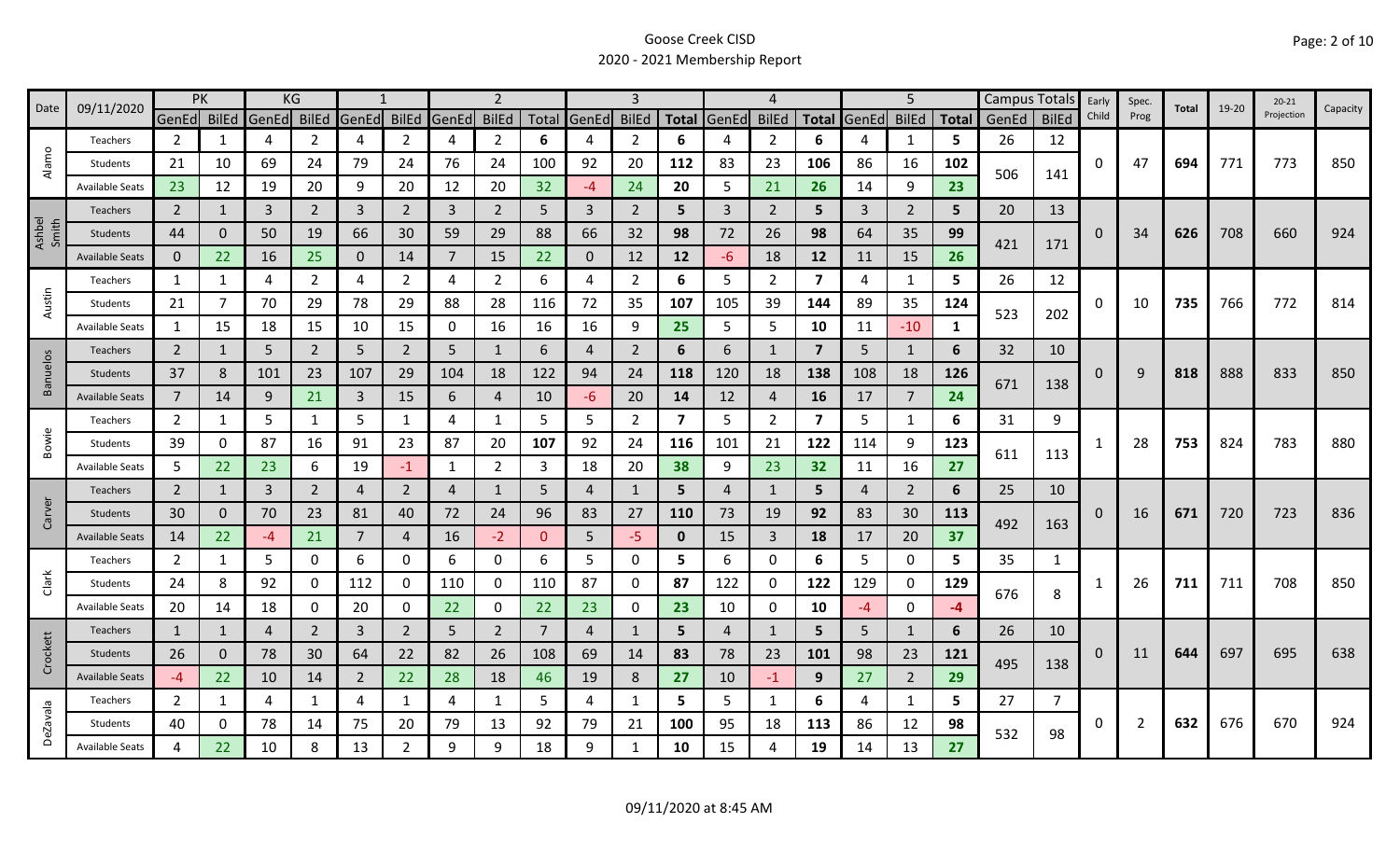|                 | 09/11/2020             | <b>PK</b>      |              |                | KG             |                |                |       | $\overline{2}$ |                |              | 3              |                         |              | 4              |                         |                | 5              |              |       | Campus Totals  | Early    | Spec. | Total | 19-20 | $20 - 21$  |          |
|-----------------|------------------------|----------------|--------------|----------------|----------------|----------------|----------------|-------|----------------|----------------|--------------|----------------|-------------------------|--------------|----------------|-------------------------|----------------|----------------|--------------|-------|----------------|----------|-------|-------|-------|------------|----------|
| Date            |                        | GenEd BilEd    |              | GenEd BilEd    |                | GenEd          | <b>BilEd</b>   | GenEd | <b>BilEd</b>   |                | Total GenEd  | <b>BilEd</b>   |                         | Total GenEd  | <b>BilEd</b>   | <b>Total</b>            | GenEd          | <b>BilEd</b>   | <b>Total</b> | GenEd | <b>BilEd</b>   | Child    | Prog  |       |       | Projection | Capacity |
|                 | Teachers               | 2              | 1            | 4              | 2              | 4              | $\overline{2}$ | 4     | $\overline{2}$ | 6              | 4            | 2              | 6                       |              | 2              | 6                       |                | 1              | 5.           | 26    | 12             |          |       |       |       |            |          |
| Alamo           | Students               | 21             | 10           | 69             | 24             | 79             | 24             | 76    | 24             | 100            | 92           | 20             | 112                     | 83           | 23             | 106                     | 86             | 16             | 102          | 506   | 141            | 0        | 47    | 694   | 771   | 773        | 850      |
|                 | <b>Available Seats</b> | 23             | 12           | 19             | 20             | 9              | 20             | 12    | 20             | 32             | -4           | 24             | 20                      | 5            | 21             | 26                      | 14             | 9              | 23           |       |                |          |       |       |       |            |          |
|                 | <b>Teachers</b>        | $2^{\circ}$    | 1            | $\overline{3}$ | $\overline{2}$ | $\overline{3}$ | $\overline{2}$ | 3     | $\overline{2}$ | 5              | 3            | $\overline{2}$ | 5                       | $\mathbf{3}$ | 2              | 5                       | $\overline{3}$ | $\overline{2}$ | 5            | 20    | 13             |          |       |       |       |            |          |
| Ashbel<br>Smith | Students               | 44             | 0            | 50             | 19             | 66             | 30             | 59    | 29             | 88             | 66           | 32             | 98                      | 72           | 26             | 98                      | 64             | 35             | 99           | 421   | 171            | $\Omega$ | 34    | 626   | 708   | 660        | 924      |
|                 | <b>Available Seats</b> | $\mathbf{0}$   | 22           | 16             | 25             | $\mathbf{0}$   | 14             | 7     | 15             | 22             | $\mathbf{0}$ | 12             | 12                      | -6           | 18             | 12                      | 11             | 15             | 26           |       |                |          |       |       |       |            |          |
|                 | Teachers               | 1              | 1            | 4              | 2              | 4              | $\overline{2}$ | 4     | $\overline{2}$ | 6              | 4            | $\overline{2}$ | 6                       | 5            | $\overline{2}$ | $\overline{\mathbf{z}}$ | 4              | 1              | 5            | 26    | 12             |          |       |       |       |            |          |
| Austin          | Students               | 21             | 7            | 70             | 29             | 78             | 29             | 88    | 28             | 116            | 72           | 35             | 107                     | 105          | 39             | 144                     | 89             | 35             | 124          | 523   | 202            | 0        | 10    | 735   | 766   | 772        | 814      |
|                 | <b>Available Seats</b> | 1              | 15           | 18             | 15             | 10             | 15             | 0     | 16             | 16             | 16           | 9              | 25                      | 5            | 5              | 10                      | 11             | $-10$          | 1            |       |                |          |       |       |       |            |          |
|                 | <b>Teachers</b>        | $\overline{2}$ | 1            | 5              | $\overline{2}$ | 5              | $\overline{2}$ | 5     | 1              | 6              | 4            | $\overline{2}$ | 6                       | 6            | -1             | $\overline{7}$          | 5              | 1              | 6            | 32    | 10             |          |       |       |       |            |          |
| Banuelos        | Students               | 37             | 8            | 101            | 23             | 107            | 29             | 104   | 18             | 122            | 94           | 24             | 118                     | 120          | 18             | 138                     | 108            | 18             | 126          | 671   |                | 0        | 9     | 818   | 888   | 833        | 850      |
|                 | <b>Available Seats</b> | $\overline{7}$ | 14           | 9              | 21             | $\overline{3}$ | 15             | 6     | 4              | 10             | -6           | 20             | 14                      | 12           | $\overline{4}$ | 16                      | 17             | $\overline{7}$ | 24           |       | 138            |          |       |       |       |            |          |
|                 | Teachers               | $\overline{2}$ | $\mathbf{1}$ | 5              | $\mathbf{1}$   | 5              | $\mathbf{1}$   | 4     | $\mathbf{1}$   | 5              | 5            | $\overline{2}$ | $\overline{\mathbf{z}}$ | 5            | $\overline{2}$ | 7                       | 5              | $\mathbf{1}$   | 6            | 31    | 9              |          |       |       |       |            |          |
| Bowie           | Students               | 39             | 0            | 87             | 16             | 91             | 23             | 87    | 20             | 107            | 92           | 24             | 116                     | 101          | 21             | 122                     | 114            | 9              | 123          | 611   |                |          | 28    | 753   | 824   | 783        | 880      |
|                 | <b>Available Seats</b> | 5              | 22           | 23             | 6              | 19             | $-1$           | 1     | $\overline{2}$ | 3              | 18           | 20             | 38                      | 9            | 23             | 32                      | 11             | 16             | 27           |       | 113            |          |       |       |       |            |          |
|                 | Teachers               | $\overline{2}$ | 1            | 3              | $\overline{2}$ | 4              | $\overline{2}$ | 4     | 1              | 5              | 4            |                | 5                       | 4            | 1              | 5                       | 4              | $\overline{2}$ | 6            | 25    | 10             |          |       |       |       |            |          |
| Carver          | Students               | 30             | 0            | 70             | 23             | 81             | 40             | 72    | 24             | 96             | 83           | 27             | 110                     | 73           | 19             | 92                      | 83             | 30             | 113          | 492   | 163            | 0        | 16    | 671   | 720   | 723        | 836      |
|                 | <b>Available Seats</b> | 14             | 22           | $-4$           | 21             | 7              | 4              | 16    | $-2$           | $\Omega$       | 5            | $-5$           | $\mathbf 0$             | 15           | $\overline{3}$ | 18                      | 17             | 20             | 37           |       |                |          |       |       |       |            |          |
|                 | Teachers               | $\overline{2}$ | 1            | 5              | $\mathbf 0$    | 6              | 0              | 6     | 0              | 6              | 5.           | 0              | 5                       | 6            | 0              | 6                       | 5              | $\mathbf 0$    | 5            | 35    | 1              |          |       |       |       |            |          |
| Clark           | Students               | 24             | 8            | 92             | 0              | 112            | $\mathbf{0}$   | 110   | 0              | 110            | 87           | 0              | 87                      | 122          | 0              | 122                     | 129            | 0              | 129          | 676   | 8              |          | 26    | 711   | 711   | 708        | 850      |
|                 | <b>Available Seats</b> | 20             | 14           | 18             | 0              | 20             | 0              | 22    | $\mathbf 0$    | 22             | 23           | 0              | 23                      | 10           | $\mathbf{0}$   | 10                      | $-4$           | $\mathbf 0$    | $-4$         |       |                |          |       |       |       |            |          |
|                 | Teachers               | $\mathbf{1}$   | 1            | 4              | $\overline{2}$ | $\overline{3}$ | $\overline{2}$ | 5     | $\overline{2}$ | $\overline{7}$ | 4            |                | 5                       | 4            | $\mathbf{1}$   | 5                       | 5              | 1              | 6            | 26    | 10             |          |       |       |       |            |          |
| Crockett        | Students               | 26             | 0            | 78             | 30             | 64             | 22             | 82    | 26             | 108            | 69           | 14             | 83                      | 78           | 23             | 101                     | 98             | 23             | 121          | 495   |                | 0        | 11    | 644   | 697   | 695        | 638      |
|                 | <b>Available Seats</b> | $-4$           | 22           | 10             | 14             | $\overline{2}$ | 22             | 28    | 18             | 46             | 19           | 8              | 27                      | 10           | $-1$           | 9                       | 27             | $\overline{2}$ | 29           |       | 138            |          |       |       |       |            |          |
|                 | Teachers               | $\overline{2}$ | $\mathbf{1}$ | 4              | 1              | 4              | $\mathbf{1}$   | 4     | 1              | 5              | 4            | 1              | 5                       | 5            | $\mathbf{1}$   | 6                       | 4              | $\mathbf{1}$   | 5.           | 27    | $\overline{7}$ |          |       |       |       |            |          |
| DeZavala        | Students               | 40             | 0            | 78             | 14             | 75             | 20             | 79    | 13             | 92             | 79           | 21             | 100                     | 95           | 18             | 113                     | 86             | 12             | 98           | 532   | 98             | 0        | 2     | 632   | 676   | 670        | 924      |
|                 | <b>Available Seats</b> | 4              | 22           | 10             | 8              | 13             | $\overline{2}$ | 9     | 9              | 18             | 9            |                | 10                      | 15           | 4              | 19                      | 14             | 13             | 27           |       |                |          |       |       |       |            |          |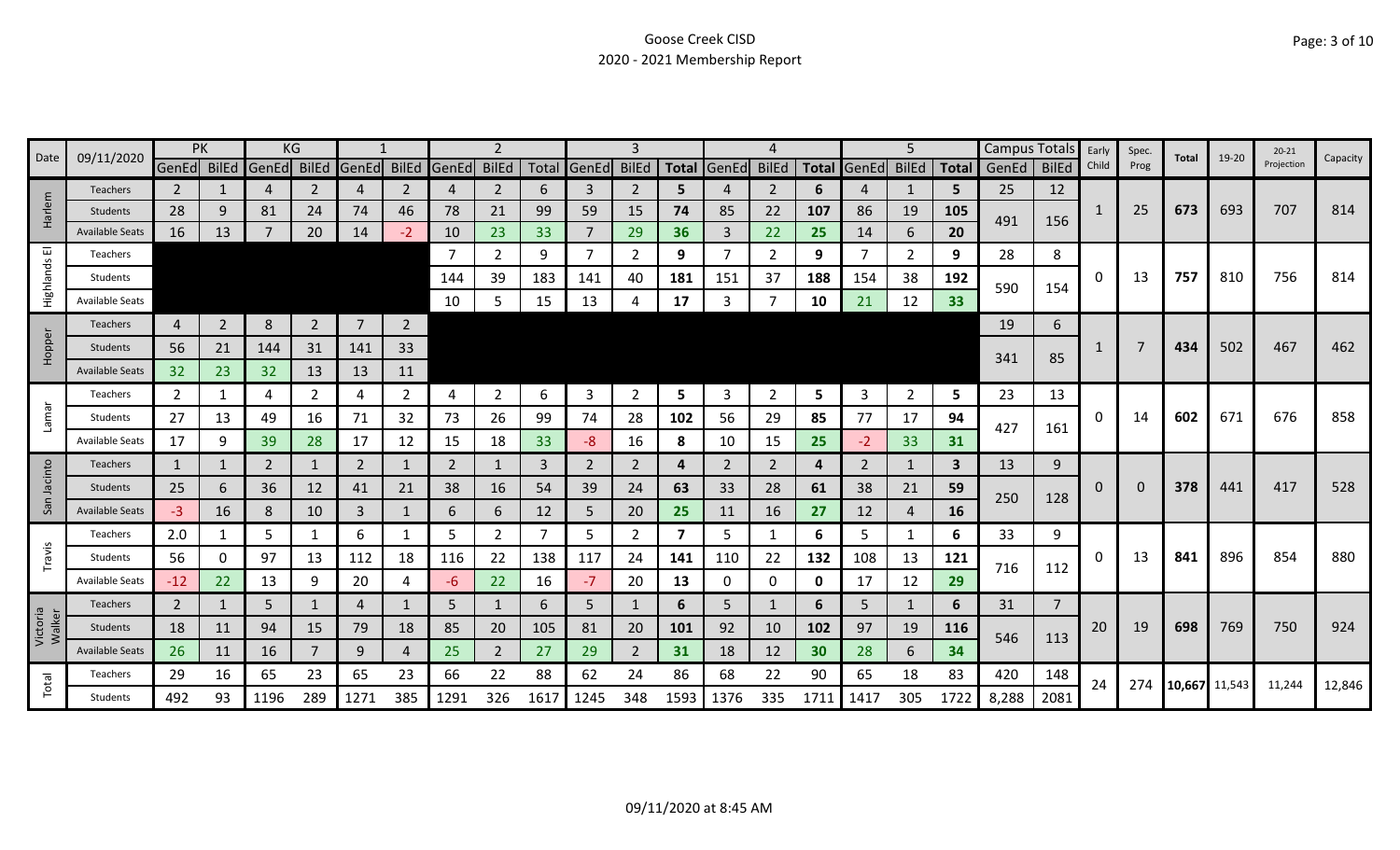|                    | 09/11/2020             |                | PK             |                | ΚG             |                |                |                |                |      |                | 3              |              |       |                |              |       | 5              |              | <b>Campus Totals</b> |              | Early    | Spec.    | Total         | 19-20 | $20 - 21$  | Capacity |
|--------------------|------------------------|----------------|----------------|----------------|----------------|----------------|----------------|----------------|----------------|------|----------------|----------------|--------------|-------|----------------|--------------|-------|----------------|--------------|----------------------|--------------|----------|----------|---------------|-------|------------|----------|
| Date               |                        | GenEd BilEd    |                | GenEd          | <b>BilEd</b>   | GenEd          | <b>BilEd</b>   | GenEd          | <b>BilEd</b>   |      | Total GenEd    | <b>BilEd</b>   | <b>Total</b> | GenEd | <b>BilEd</b>   | <b>Total</b> | GenEd | <b>BilEd</b>   | <b>Total</b> | GenEd                | <b>BilEd</b> | Child    | Prog     |               |       | Projection |          |
|                    | Teachers               | 2              |                | 4              | 2              | $\overline{4}$ | 2              | 4              | 2              | 6    | 3              | 2              | 5            |       | $\overline{2}$ | 6            | 4     | 1              | 5            | 25                   | 12           |          |          |               |       |            |          |
| Harlem             | <b>Students</b>        | 28             | 9              | 81             | 24             | 74             | 46             | 78             | 21             | 99   | 59             | 15             | 74           | 85    | 22             | 107          | 86    | 19             | 105          | 491                  | 156          | -1       | 25       | 673           | 693   | 707        | 814      |
|                    | <b>Available Seats</b> | 16             | 13             | $\overline{7}$ | 20             | 14             | $-2$           | 10             | 23             | 33   | $\overline{7}$ | 29             | 36           | 3     | 22             | 25           | 14    | 6              | 20           |                      |              |          |          |               |       |            |          |
| 画                  | Teachers               |                |                |                |                |                |                |                | $\overline{2}$ | 9    | $\overline{7}$ | $\overline{2}$ | 9            |       | $\overline{2}$ | 9            |       | 2              | 9            | 28                   | 8            |          |          |               |       |            |          |
| Highlands          | Students               |                |                |                |                |                |                | 144            | 39             | 183  | 141            | 40             | 181          | 151   | 37             | 188          | 154   | 38             | 192          | 590                  | 154          | 0        | 13       | 757           | 810   | 756        | 814      |
|                    | <b>Available Seats</b> |                |                |                |                |                |                | 10             | 5              | 15   | 13             |                | 17           |       |                | 10           | 21    | 12             | 33           |                      |              |          |          |               |       |            |          |
|                    | Teachers               | 4              | $\overline{2}$ | 8              | $\overline{2}$ | $\overline{7}$ | $\overline{2}$ |                |                |      |                |                |              |       |                |              |       |                |              | 19                   | 6            |          |          |               |       |            |          |
| Hopper             | <b>Students</b>        | 56             | 21             | 144            | 31             | 141            | 33             |                |                |      |                |                |              |       |                |              |       |                |              |                      |              |          |          | 434           | 502   | 467        | 462      |
|                    | <b>Available Seats</b> | 32             | 23             | 32             | 13             | 13             | 11             |                |                |      |                |                |              |       |                |              |       |                |              | 341                  | 85           |          |          |               |       |            |          |
|                    | Teachers               | $\overline{2}$ | 1              | 4              | $\overline{2}$ | 4              | $\overline{2}$ | 4              | 2              | 6    | 3              | 2              | 5.           | 3     | 2              | 5            | 3     | $\overline{2}$ | 5.           | 23                   | 13           |          |          |               |       |            |          |
| Lamar              | Students               | 27             | 13             | 49             | 16             | 71             | 32             | 73             | 26             | 99   | 74             | 28             | 102          | 56    | 29             | 85           | 77    | 17             | 94           |                      |              | 0        | 14       | 602           | 671   | 676        | 858      |
|                    | <b>Available Seats</b> | 17             | 9              | 39             | 28             | 17             | 12             | 15             | 18             | 33   | -8             | 16             | 8            | 10    | 15             | 25           | $-2$  | 33             | 31           | 427                  | 161          |          |          |               |       |            |          |
|                    | Teachers               | 1              | 1              | 2              |                | 2              | 1              | $\overline{2}$ | 1              | 3    | 2              | 2              | 4            | 2     | 2              | 4            | 2     | 1              | 3            | 13                   | 9            |          |          |               |       |            |          |
| Jacinto            | <b>Students</b>        | 25             | 6              | 36             | 12             | 41             | 21             | 38             | 16             | 54   | 39             | 24             | 63           | 33    | 28             | 61           | 38    | 21             | 59           |                      |              | $\Omega$ | $\Omega$ | 378           | 441   | 417        | 528      |
| San                | <b>Available Seats</b> | -3             | 16             | 8              | 10             | 3              | 1              | 6              | 6              | 12   | 5              | 20             | 25           | 11    | 16             | 27           | 12    | 4              | <b>16</b>    | 250                  | 128          |          |          |               |       |            |          |
|                    | Teachers               | 2.0            | 1              | 5              |                | 6              | 1              | 5              | $\overline{2}$ |      | 5              | 2              | 7            | 5     | 1              | 6            | 5     | $\mathbf{1}$   | 6            | 33                   | 9            |          |          |               |       |            |          |
| Travis             | <b>Students</b>        | 56             | 0              | 97             | 13             | 112            | 18             | 116            | 22             | 138  | 117            | 24             | 141          | 110   | 22             | 132          | 108   | 13             | 121          |                      |              | 0        | 13       | 841           | 896   | 854        | 880      |
|                    | <b>Available Seats</b> | $-12$          | 22             | 13             | 9              | 20             | 4              | -6             | 22             | 16   | $-7$           | 20             | 13           | 0     | $\mathbf 0$    | 0            | 17    | 12             | 29           | 716                  | 112          |          |          |               |       |            |          |
|                    | Teachers               | $\overline{2}$ |                | 5              |                | 4              |                | 5              |                | 6    | 5              |                | 6            | 5     | 1              | 6            | 5     | 1              | 6            | 31                   | 7            |          |          |               |       |            |          |
| Victoria<br>Walker | Students               | 18             | 11             | 94             | 15             | 79             | 18             | 85             | 20             | 105  | 81             | 20             | 101          | 92    | 10             | 102          | 97    | 19             | <b>116</b>   |                      |              | 20       | 19       | 698           | 769   | 750        | 924      |
|                    | <b>Available Seats</b> | 26             | 11             | 16             | $\overline{7}$ | 9              | 4              | 25             | $\overline{2}$ | 27   | 29             | $\overline{2}$ | 31           | 18    | 12             | 30           | 28    | 6              | 34           | 546                  | 113          |          |          |               |       |            |          |
|                    | Teachers               | 29             | 16             | 65             | 23             | 65             | 23             | 66             | 22             | 88   | 62             | 24             | 86           | 68    | 22             | 90           | 65    | 18             | 83           | 420                  | 148          | 24       | 274      | 10,667 11,543 |       |            |          |
| Total              | <b>Students</b>        | 492            | 93             | 1196           | 289            | 1271           | 385            | 1291           | 326            | 1617 | 1245           | 348            | 1593         | 1376  | 335            | 1711         | 1417  | 305            | 1722         | 8,288                | 2081         |          |          |               |       | 11,244     | 12,846   |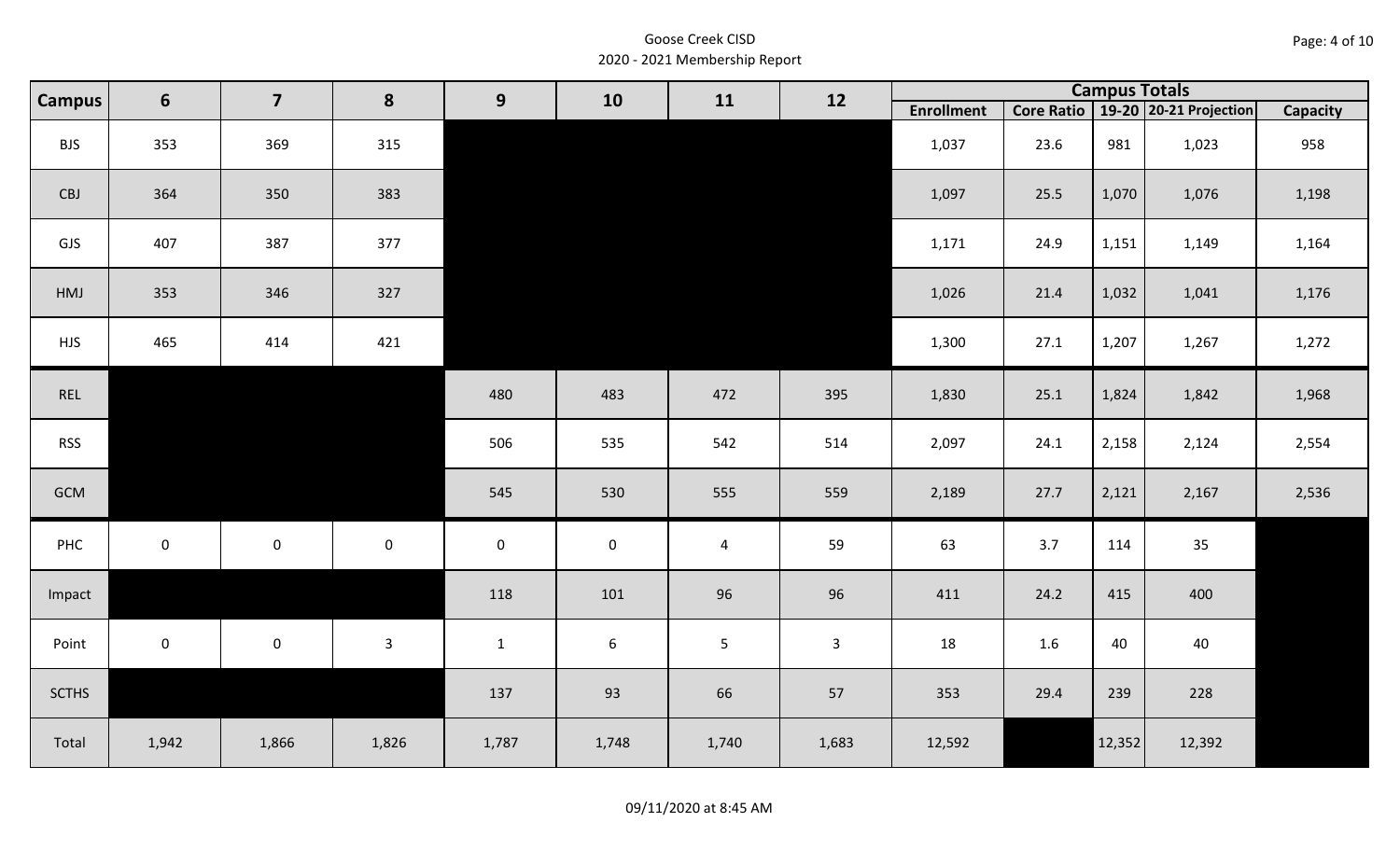| Page: 4 of 10 |  |  |  |
|---------------|--|--|--|
|---------------|--|--|--|

| <b>Campus</b> | $6\phantom{1}$      | $\overline{\mathbf{z}}$ | 8            | 9            | 10               | 11             | 12             |                   |      |        | <b>Campus Totals</b>                  |                 |
|---------------|---------------------|-------------------------|--------------|--------------|------------------|----------------|----------------|-------------------|------|--------|---------------------------------------|-----------------|
|               |                     |                         |              |              |                  |                |                | <b>Enrollment</b> |      |        | Core Ratio   19-20   20-21 Projection | <b>Capacity</b> |
| <b>BJS</b>    | 353                 | 369                     | 315          |              |                  |                |                | 1,037             | 23.6 | 981    | 1,023                                 | 958             |
| CBJ           | 364                 | 350                     | 383          |              |                  |                |                | 1,097             | 25.5 | 1,070  | 1,076                                 | 1,198           |
| GJS           | 407                 | 387                     | 377          |              |                  |                |                | 1,171             | 24.9 | 1,151  | 1,149                                 | 1,164           |
| HMJ           | 353                 | 346                     | 327          |              |                  |                |                | 1,026             | 21.4 | 1,032  | 1,041                                 | 1,176           |
| <b>HJS</b>    | 465                 | 414                     | 421          |              |                  |                |                | 1,300             | 27.1 | 1,207  | 1,267                                 | 1,272           |
| REL           |                     |                         |              | 480          | 483              | 472            | 395            | 1,830             | 25.1 | 1,824  | 1,842                                 | 1,968           |
| <b>RSS</b>    |                     |                         |              | 506          | 535              | 542            | 514            | 2,097             | 24.1 | 2,158  | 2,124                                 | 2,554           |
| GCM           |                     |                         |              | 545          | 530              | 555            | 559            | 2,189             | 27.7 | 2,121  | 2,167                                 | 2,536           |
| PHC           | $\mathbf 0$         | $\mathbf 0$             | $\mathsf 0$  | $\mathbf 0$  | $\mathbf 0$      | $\overline{4}$ | 59             | 63                | 3.7  | 114    | 35                                    |                 |
| Impact        |                     |                         |              | 118          | 101              | 96             | 96             | 411               | 24.2 | 415    | 400                                   |                 |
| Point         | $\mathsf{O}\xspace$ | $\pmb{0}$               | $\mathbf{3}$ | $\mathbf{1}$ | $\boldsymbol{6}$ | 5 <sup>1</sup> | $\overline{3}$ | 18                | 1.6  | 40     | 40                                    |                 |
| <b>SCTHS</b>  |                     |                         |              | 137          | 93               | 66             | 57             | 353               | 29.4 | 239    | 228                                   |                 |
| Total         | 1,942               | 1,866                   | 1,826        | 1,787        | 1,748            | 1,740          | 1,683          | 12,592            |      | 12,352 | 12,392                                |                 |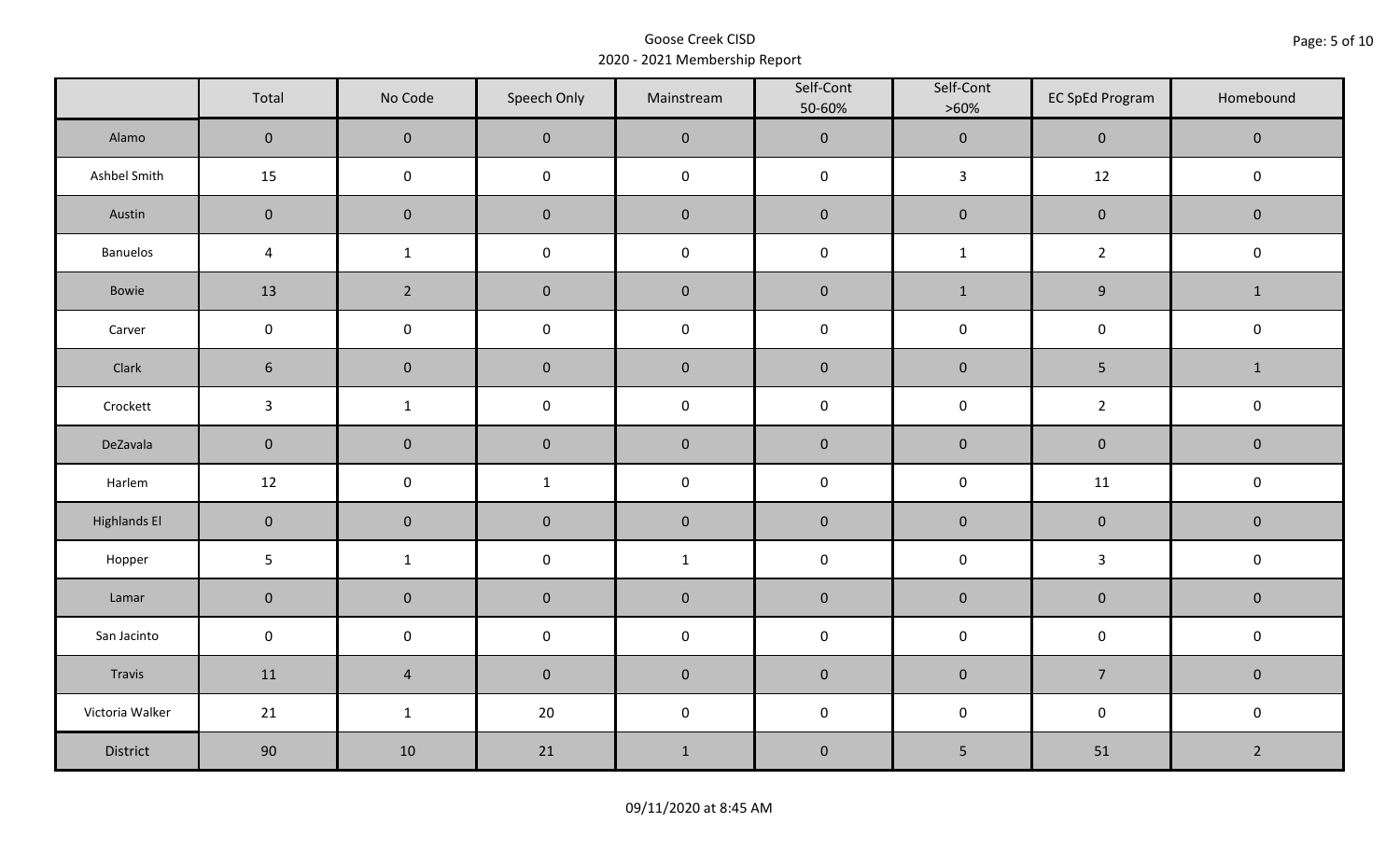|                     | Total           | No Code             | Speech Only         | Mainstream   | Self-Cont<br>50-60% | Self-Cont<br>$>60\%$ | <b>EC SpEd Program</b> | Homebound           |  |
|---------------------|-----------------|---------------------|---------------------|--------------|---------------------|----------------------|------------------------|---------------------|--|
| Alamo               | $\overline{0}$  | $\mathbf 0$         | $\mathbf 0$         | $\pmb{0}$    | $\pmb{0}$           | $\mathbf 0$          | $\mathbf 0$            | $\mathbf 0$         |  |
| Ashbel Smith        | 15              | $\mathbf 0$         | $\mathbf 0$         | $\pmb{0}$    | $\mathbf 0$         | $\mathbf{3}$         | 12                     | $\mathsf 0$         |  |
| Austin              | $\mathbf 0$     | $\mathbf 0$         | $\mathbf 0$         | $\pmb{0}$    | $\pmb{0}$           | $\pmb{0}$            | $\pmb{0}$              | $\mathbf 0$         |  |
| <b>Banuelos</b>     | $\overline{4}$  | $\mathbf{1}$        | $\mathsf{O}\xspace$ | $\pmb{0}$    | $\pmb{0}$           | $1\,$                | $\overline{2}$         | $\mathbf 0$         |  |
| Bowie               | 13              | $2^{\circ}$         | $\mathbf 0$         | $\pmb{0}$    | $\pmb{0}$           | $\mathbf{1}$         | $\boldsymbol{9}$       | $\mathbf{1}$        |  |
| Carver              | $\mathbf 0$     | $\mathsf{O}\xspace$ | $\pmb{0}$           | $\pmb{0}$    | $\mathsf{O}\xspace$ | $\pmb{0}$            | $\pmb{0}$              | $\mathbf 0$         |  |
| Clark               | $6\phantom{.}6$ | $\mathbf 0$         | $\mathbf 0$         | $\pmb{0}$    | $\pmb{0}$           | $\pmb{0}$            | 5                      | $\mathbf{1}$        |  |
| Crockett            | $\mathbf{3}$    | $\mathbf{1}$        | $\mathbf 0$         | $\pmb{0}$    | $\pmb{0}$           | $\pmb{0}$            | $\overline{2}$         | $\mathbf 0$         |  |
| DeZavala            | $\mathbf 0$     | $\mathbf 0$         | $\mathbf 0$         | $\pmb{0}$    | $\pmb{0}$           | $\pmb{0}$            | $\mathbf 0$            | $\mathbf 0$         |  |
| Harlem              | 12              | $\mathbf 0$         | $\mathbf{1}$        | $\pmb{0}$    | $\pmb{0}$           | $\pmb{0}$            | 11                     | $\pmb{0}$           |  |
| <b>Highlands El</b> | $\mathbf 0$     | $\overline{0}$      | $\mathbf 0$         | $\pmb{0}$    | $\pmb{0}$           | $\pmb{0}$            | $\pmb{0}$              | $\mathbf 0$         |  |
| Hopper              | $5\phantom{.}$  | $\mathbf{1}$        | $\mathsf{O}\xspace$ | $\mathbf{1}$ | $\pmb{0}$           | $\pmb{0}$            | $\mathbf{3}$           | $\mathbf 0$         |  |
| Lamar               | $\mathbf 0$     | $\mathbf 0$         | $\mathbf 0$         | $\pmb{0}$    | $\pmb{0}$           | $\pmb{0}$            | $\pmb{0}$              | $\mathbf 0$         |  |
| San Jacinto         | $\mathbf 0$     | $\mathbf 0$         | $\mathsf{O}\xspace$ | $\pmb{0}$    | $\pmb{0}$           | $\pmb{0}$            | $\mathbf 0$            | $\mathsf{O}\xspace$ |  |
| Travis              | 11              | $\overline{4}$      | $\mathbf 0$         | $\pmb{0}$    | $\pmb{0}$           | $\pmb{0}$            | $\overline{7}$         | $\mathbf 0$         |  |
| Victoria Walker     | 21              | $\mathbf{1}$        | 20                  | $\pmb{0}$    | $\pmb{0}$           | $\pmb{0}$            | $\mathsf{O}\xspace$    | $\mathbf 0$         |  |
| District            | 90              | 10                  | 21                  | $\mathbf 1$  | $\pmb{0}$           | 5                    | 51                     | $\overline{2}$      |  |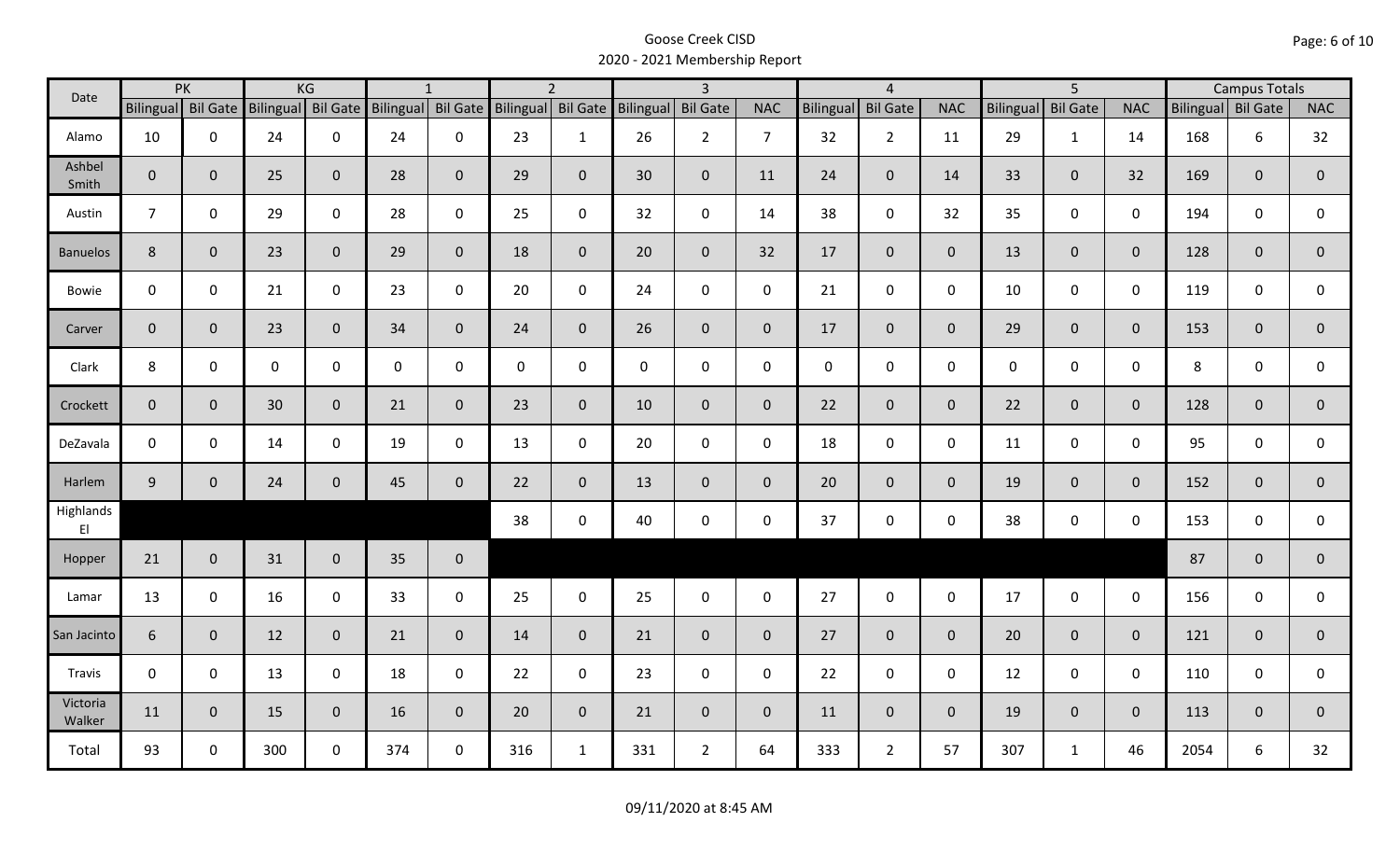| Date               |                    | PK           |             | KG             |                                       | $\mathbf{1}$   |                  | $\overline{2}$ |                    | $\overline{\mathbf{3}}$ |                |                  | $\overline{4}$  |                |                  | $\overline{5}$  |                | <b>Campus Totals</b> |              |                |
|--------------------|--------------------|--------------|-------------|----------------|---------------------------------------|----------------|------------------|----------------|--------------------|-------------------------|----------------|------------------|-----------------|----------------|------------------|-----------------|----------------|----------------------|--------------|----------------|
|                    | Bilingual Bil Gate |              |             |                | Bilingual Bil Gate Bilingual Bil Gate |                | <b>Bilingual</b> |                | Bil Gate Bilingual | <b>Bil Gate</b>         | <b>NAC</b>     | <b>Bilingual</b> | <b>Bil Gate</b> | <b>NAC</b>     | <b>Bilingual</b> | <b>Bil Gate</b> | <b>NAC</b>     | Bilingual Bil Gate   |              | <b>NAC</b>     |
| Alamo              | 10                 | $\mathbf 0$  | 24          | $\mathbf 0$    | 24                                    | $\mathbf 0$    | 23               | $\mathbf{1}$   | 26                 | $2^{\circ}$             | $\overline{7}$ | 32               | $2^{\circ}$     | 11             | 29               | $\mathbf{1}$    | 14             | 168                  | 6            | 32             |
| Ashbel<br>Smith    | $\overline{0}$     | $\mathbf{0}$ | 25          | $\overline{0}$ | 28                                    | $\mathbf 0$    | 29               | $\overline{0}$ | 30                 | $\mathbf{0}$            | 11             | 24               | $\overline{0}$  | 14             | 33               | $\mathbf{0}$    | 32             | 169                  | $\mathbf{0}$ | $\overline{0}$ |
| Austin             | $7\overline{ }$    | $\mathbf 0$  | 29          | $\mathbf 0$    | 28                                    | $\mathbf 0$    | 25               | $\mathbf 0$    | 32                 | $\mathbf 0$             | 14             | 38               | $\mathbf 0$     | 32             | 35               | $\mathbf 0$     | $\mathbf 0$    | 194                  | $\mathbf 0$  | $\mathbf 0$    |
| <b>Banuelos</b>    | 8                  | $\mathbf{0}$ | 23          | $\mathbf{0}$   | 29                                    | $\mathbf 0$    | 18               | $\overline{0}$ | 20                 | $\overline{0}$          | 32             | 17               | $\overline{0}$  | $\overline{0}$ | 13               | $\overline{0}$  | $\overline{0}$ | 128                  | $\mathbf{0}$ | $\overline{0}$ |
| Bowie              | $\mathbf 0$        | $\mathbf 0$  | 21          | $\mathbf 0$    | 23                                    | $\mathbf 0$    | 20               | $\mathbf 0$    | 24                 | $\mathbf 0$             | $\mathbf 0$    | 21               | $\mathbf 0$     | $\mathsf{O}$   | 10               | $\mathbf 0$     | $\mathbf 0$    | 119                  | $\mathbf 0$  | 0              |
| Carver             | $\mathbf 0$        | $\mathbf{0}$ | 23          | $\mathbf{0}$   | 34                                    | $\overline{0}$ | 24               | $\mathbf{0}$   | 26                 | $\overline{0}$          | $\overline{0}$ | 17               | $\overline{0}$  | $\overline{0}$ | 29               | $\overline{0}$  | $\overline{0}$ | 153                  | $\mathbf 0$  | $\mathbf 0$    |
| Clark              | 8                  | $\mathbf 0$  | $\mathbf 0$ | $\mathbf 0$    | $\mathbf 0$                           | $\mathbf 0$    | $\mathbf 0$      | $\mathbf 0$    | 0                  | $\mathsf{O}$            | $\mathbf 0$    | $\mathbf 0$      | $\mathbf 0$     | $\mathsf{O}$   | $\mathbf 0$      | $\mathbf 0$     | $\mathbf 0$    | 8                    | $\mathbf 0$  | $\mathbf 0$    |
| Crockett           | $\overline{0}$     | $\Omega$     | 30          | $\mathbf{0}$   | 21                                    | $\mathbf 0$    | 23               | $\overline{0}$ | 10                 | $\mathbf 0$             | $\mathbf{0}$   | 22               | $\overline{0}$  | $\overline{0}$ | 22               | $\overline{0}$  | $\overline{0}$ | 128                  | $\mathbf{0}$ | $\mathbf{0}$   |
| DeZavala           | $\mathbf 0$        | $\mathbf 0$  | 14          | $\mathbf 0$    | 19                                    | $\mathbf 0$    | 13               | $\mathbf 0$    | 20                 | $\mathbf 0$             | $\mathbf 0$    | 18               | $\mathbf 0$     | $\mathbf 0$    | 11               | $\mathbf{0}$    | $\mathbf 0$    | 95                   | $\mathbf 0$  | 0              |
| Harlem             | 9                  | $\mathbf 0$  | 24          | $\mathbf{0}$   | 45                                    | $\mathbf 0$    | 22               | $\overline{0}$ | 13                 | $\mathbf 0$             | $\mathbf{0}$   | 20               | $\overline{0}$  | $\overline{0}$ | 19               | $\mathbf{0}$    | $\overline{0}$ | 152                  | $\mathbf{0}$ | $\overline{0}$ |
| Highlands<br>E1    |                    |              |             |                |                                       |                | 38               | $\mathbf 0$    | 40                 | $\mathbf 0$             | $\mathbf 0$    | 37               | $\mathbf 0$     | $\mathsf{O}$   | 38               | $\mathbf 0$     | $\mathbf 0$    | 153                  | $\mathbf 0$  | $\mathbf{0}$   |
| Hopper             | 21                 | $\mathbf{0}$ | 31          | $\mathbf 0$    | 35                                    | $\mathbf 0$    |                  |                |                    |                         |                |                  |                 |                |                  |                 |                | 87                   | $\mathbf{0}$ | $\overline{0}$ |
| Lamar              | 13                 | $\mathbf 0$  | 16          | $\mathbf 0$    | 33                                    | $\mathbf 0$    | 25               | $\mathbf 0$    | 25                 | $\mathbf 0$             | $\mathsf{O}$   | 27               | $\mathbf 0$     | $\mathsf{O}$   | 17               | $\mathbf 0$     | $\mathbf 0$    | 156                  | $\mathbf 0$  | 0              |
| San Jacinto        | 6                  | $\mathbf 0$  | 12          | $\mathbf{0}$   | 21                                    | $\mathbf 0$    | 14               | $\overline{0}$ | 21                 | $\mathbf{0}$            | $\overline{0}$ | 27               | $\overline{0}$  | $\mathbf{0}$   | 20               | $\overline{0}$  | $\overline{0}$ | 121                  | $\mathbf 0$  | $\mathbf{0}$   |
| Travis             | $\mathbf 0$        | $\mathbf 0$  | 13          | $\mathbf 0$    | 18                                    | $\mathbf 0$    | 22               | $\mathbf 0$    | 23                 | $\mathbf 0$             | $\mathsf{O}$   | 22               | $\mathbf 0$     | $\mathbf 0$    | 12               | $\mathbf{0}$    | $\mathbf 0$    | 110                  | $\mathbf 0$  | $\mathbf 0$    |
| Victoria<br>Walker | 11                 | $\mathbf{0}$ | 15          | $\mathbf{0}$   | 16                                    | $\mathbf 0$    | 20               | $\overline{0}$ | 21                 | $\overline{0}$          | $\mathbf{0}$   | 11               | $\overline{0}$  | $\overline{0}$ | 19               | $\mathbf{0}$    | $\overline{0}$ | 113                  | $\mathbf{0}$ | $\mathbf{0}$   |
| Total              | 93                 | $\mathbf 0$  | 300         | $\mathsf{O}$   | 374                                   | $\mathsf{O}$   | 316              | $\mathbf{1}$   | 331                | $2^{\circ}$             | 64             | 333              | $\overline{2}$  | 57             | 307              | $\mathbf{1}$    | 46             | 2054                 | 6            | 32             |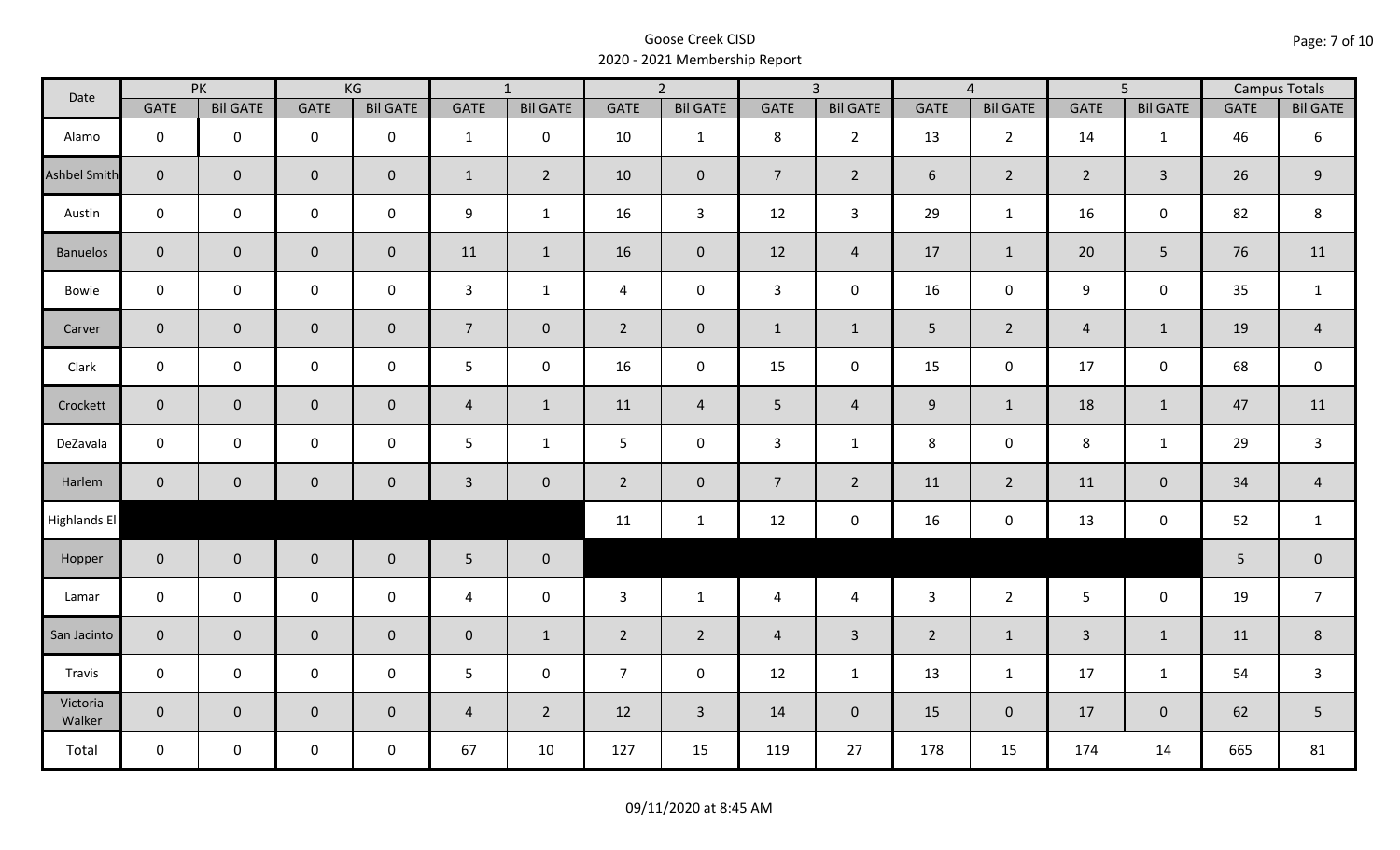| Date                |                | PK                  |                     | KG              |                | $\overline{1}$  |                | $\overline{2}$  |                | $\overline{3}$  |                | $\overline{4}$  |                | $\overline{5}$  |             | <b>Campus Totals</b> |
|---------------------|----------------|---------------------|---------------------|-----------------|----------------|-----------------|----------------|-----------------|----------------|-----------------|----------------|-----------------|----------------|-----------------|-------------|----------------------|
|                     | <b>GATE</b>    | <b>Bil GATE</b>     | <b>GATE</b>         | <b>Bil GATE</b> | <b>GATE</b>    | <b>Bil GATE</b> | <b>GATE</b>    | <b>Bil GATE</b> | <b>GATE</b>    | <b>Bil GATE</b> | <b>GATE</b>    | <b>Bil GATE</b> | <b>GATE</b>    | <b>Bil GATE</b> | <b>GATE</b> | <b>Bil GATE</b>      |
| Alamo               | $\mathbf 0$    | $\mathbf 0$         | $\mathbf 0$         | $\mathbf 0$     | $\mathbf{1}$   | $\mathbf 0$     | 10             | $\mathbf{1}$    | 8              | $2^{\circ}$     | 13             | $\overline{2}$  | 14             | 1               | 46          | 6                    |
| <b>Ashbel Smith</b> | $\mathbf{0}$   | $\mathbf 0$         | $\mathbf 0$         | $\mathbf{0}$    | $\mathbf{1}$   | $\overline{2}$  | 10             | $\mathbf{0}$    | $\overline{7}$ | $\overline{2}$  | 6              | $\overline{2}$  | $2^{\circ}$    | $\overline{3}$  | 26          | $\mathsf 9$          |
| Austin              | $\mathbf 0$    | $\mathbf 0$         | $\mathbf 0$         | $\mathbf 0$     | 9              | $\mathbf{1}$    | 16             | $\overline{3}$  | 12             | $\mathbf{3}$    | 29             | $\mathbf{1}$    | 16             | $\mathbf 0$     | 82          | 8                    |
| <b>Banuelos</b>     | $\overline{0}$ | $\mathbf 0$         | $\mathbf 0$         | $\overline{0}$  | 11             | $\mathbf{1}$    | 16             | $\mathbf{0}$    | 12             | $\overline{4}$  | 17             | $\mathbf{1}$    | 20             | 5               | 76          | 11                   |
| Bowie               | $\mathbf 0$    | $\mathbf 0$         | $\mathsf{O}$        | $\mathbf 0$     | $\mathbf{3}$   | $\mathbf{1}$    | $\overline{4}$ | $\mathbf 0$     | $\mathbf{3}$   | $\mathbf 0$     | 16             | 0               | 9              | $\mathbf 0$     | 35          | $\mathbf{1}$         |
| Carver              | $\overline{0}$ | $\mathbf{0}$        | $\mathbf 0$         | $\mathbf{0}$    | 7 <sup>1</sup> | $\overline{0}$  | $2^{\circ}$    | $\mathbf{0}$    | $\mathbf{1}$   | $\mathbf{1}$    | $5\phantom{.}$ | $\overline{2}$  | $\overline{4}$ | $\mathbf{1}$    | 19          | $\overline{4}$       |
| Clark               | $\mathbf 0$    | $\mathbf 0$         | $\mathbf 0$         | $\mathbf 0$     | 5              | $\mathbf 0$     | 16             | $\mathbf 0$     | 15             | $\mathbf 0$     | 15             | $\mathbf 0$     | 17             | $\mathbf 0$     | 68          | $\mathsf 0$          |
| Crockett            | $\overline{0}$ | $\mathbf 0$         | $\mathbf 0$         | $\mathbf{0}$    | $\overline{4}$ | $\mathbf{1}$    | 11             | $\overline{4}$  | 5 <sub>1</sub> | $\overline{4}$  | $9\,$          | $\mathbf{1}$    | 18             | $\mathbf{1}$    | 47          | 11                   |
| DeZavala            | $\mathbf 0$    | $\mathbf 0$         | $\pmb{0}$           | $\mathbf 0$     | 5              | $\mathbf{1}$    | 5              | $\mathbf 0$     | 3              | $\mathbf{1}$    | 8              | $\mathbf 0$     | $\,8\,$        | $\mathbf{1}$    | 29          | $\mathsf{3}$         |
| Harlem              | $\overline{0}$ | $\mathsf{O}\xspace$ | $\mathbf 0$         | $\mathbf 0$     | $\mathbf{3}$   | $\mathbf 0$     | $2^{\circ}$    | $\mathbf 0$     | $\overline{7}$ | $\overline{2}$  | 11             | $2^{\circ}$     | 11             | $\mathbf 0$     | 34          | $\overline{4}$       |
| Highlands El        |                |                     |                     |                 |                |                 | 11             | $\mathbf{1}$    | 12             | $\mathbf 0$     | 16             | 0               | 13             | $\mathbf 0$     | 52          | $\mathbf{1}$         |
| Hopper              | $\overline{0}$ | $\overline{0}$      | $\mathbf 0$         | $\overline{0}$  | $5\phantom{.}$ | $\bf{0}$        |                |                 |                |                 |                |                 |                |                 | 5           | $\pmb{0}$            |
| Lamar               | $\mathbf 0$    | $\mathbf 0$         | $\mathsf{O}\xspace$ | $\mathbf 0$     | $\overline{4}$ | $\mathbf 0$     | 3              | $\mathbf{1}$    | $\overline{4}$ | $\overline{4}$  | $\overline{3}$ | $2^{\circ}$     | 5 <sup>5</sup> | $\mathbf 0$     | 19          | $\overline{7}$       |
| San Jacinto         | $\mathbf 0$    | $\mathbf{0}$        | $\mathbf 0$         | $\overline{0}$  | $\pmb{0}$      | $\mathbf{1}$    | $\overline{2}$ | $\overline{2}$  | $\overline{4}$ | $\overline{3}$  | $\overline{2}$ | $\mathbf{1}$    | $\overline{3}$ | $\mathbf{1}$    | 11          | $\,8\,$              |
| Travis              | $\mathbf 0$    | $\mathbf 0$         | $\mathsf{O}\xspace$ | $\mathbf 0$     | 5              | $\mathbf 0$     | $\overline{7}$ | $\mathbf 0$     | 12             | $\mathbf{1}$    | 13             | $\mathbf{1}$    | 17             | $\mathbf{1}$    | 54          | $\mathsf{3}$         |
| Victoria<br>Walker  | $\overline{0}$ | $\overline{0}$      | $\mathbf 0$         | $\overline{0}$  | $\overline{4}$ | $\overline{2}$  | 12             | $\overline{3}$  | 14             | $\overline{0}$  | 15             | $\overline{0}$  | 17             | $\overline{0}$  | 62          | 5                    |
| Total               | $\mathbf 0$    | $\mathbf 0$         | $\mathbf 0$         | $\mathbf 0$     | 67             | 10              | 127            | 15              | 119            | 27              | 178            | 15              | 174            | 14              | 665         | 81                   |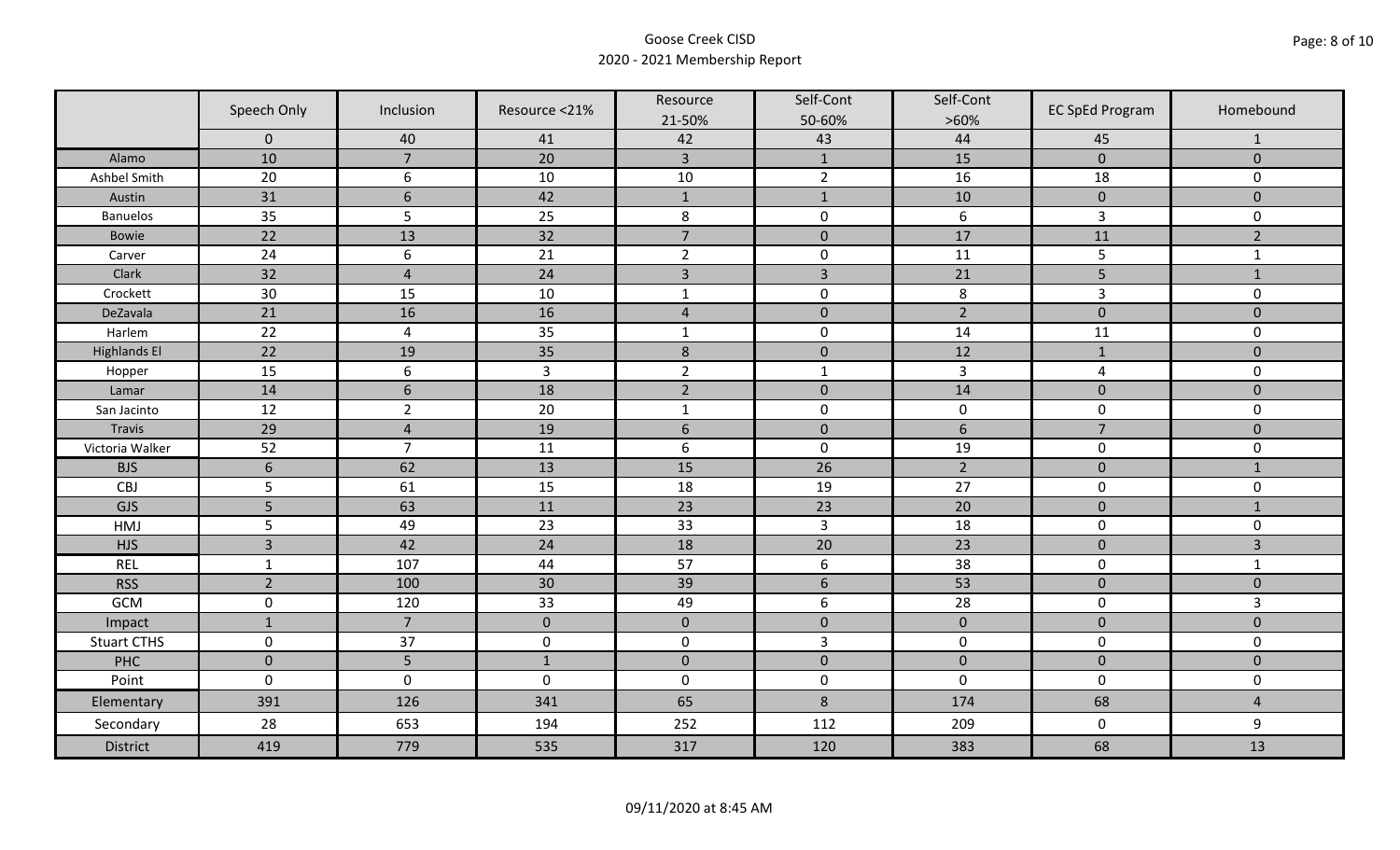|                     | Speech Only    | Inclusion       | Resource <21%  | Resource<br>21-50% | Self-Cont<br>50-60% | Self-Cont<br>$>60\%$ | <b>EC SpEd Program</b> | Homebound      |
|---------------------|----------------|-----------------|----------------|--------------------|---------------------|----------------------|------------------------|----------------|
|                     | $\mathbf 0$    | 40              | 41             | 42                 | 43                  | 44                   | 45                     | $\mathbf{1}$   |
| Alamo               | 10             | $\overline{7}$  | 20             | $\overline{3}$     | $\mathbf{1}$        | 15                   | $\pmb{0}$              | $\mathbf 0$    |
| Ashbel Smith        | 20             | 6               | 10             | $10\,$             | $\overline{2}$      | 16                   | 18                     | 0              |
| Austin              | 31             | $6\phantom{1}6$ | 42             | $\mathbf{1}$       | $\mathbf{1}$        | 10                   | $\pmb{0}$              | $\overline{0}$ |
| <b>Banuelos</b>     | 35             | 5               | 25             | $\,8\,$            | $\pmb{0}$           | $\boldsymbol{6}$     | $\mathsf{3}$           | 0              |
| <b>Bowie</b>        | 22             | 13              | 32             | $\overline{7}$     | $\pmb{0}$           | 17                   | 11                     | $\overline{2}$ |
| Carver              | 24             | 6               | 21             | $\overline{2}$     | $\pmb{0}$           | 11                   | 5                      | $\mathbf{1}$   |
| Clark               | 32             | $\overline{4}$  | 24             | $\overline{3}$     | $\overline{3}$      | 21                   | 5                      | $1\,$          |
| Crockett            | 30             | 15              | 10             | $\mathbf{1}$       | $\pmb{0}$           | 8                    | 3                      | 0              |
| DeZavala            | 21             | 16              | 16             | $\sqrt{4}$         | $\pmb{0}$           | $\overline{2}$       | $\pmb{0}$              | $\overline{0}$ |
| Harlem              | 22             | $\overline{4}$  | 35             | $\mathbf 1$        | $\pmb{0}$           | 14                   | 11                     | 0              |
| <b>Highlands El</b> | 22             | 19              | 35             | $\,$ 8 $\,$        | $\pmb{0}$           | 12                   | $\mathbf{1}$           | $\overline{0}$ |
| Hopper              | 15             | 6               | $\overline{3}$ | $\overline{2}$     | $\mathbf{1}$        | $\overline{3}$       | $\overline{a}$         | 0              |
| Lamar               | 14             | $6\,$           | 18             | $\overline{2}$     | $\pmb{0}$           | 14                   | $\pmb{0}$              | $\mathbf 0$    |
| San Jacinto         | 12             | $\overline{2}$  | 20             | $\mathbf{1}$       | $\pmb{0}$           | $\pmb{0}$            | $\mathbf 0$            | 0              |
| Travis              | 29             | $\overline{4}$  | 19             | $6\,$              | $\pmb{0}$           | $\sqrt{6}$           | $\overline{7}$         | $\mathbf 0$    |
| Victoria Walker     | 52             | $\overline{7}$  | 11             | $\boldsymbol{6}$   | $\pmb{0}$           | 19                   | $\pmb{0}$              | 0              |
| <b>BJS</b>          | 6              | 62              | 13             | 15                 | 26                  | $\overline{2}$       | $\pmb{0}$              | $\mathbf{1}$   |
| CBJ                 | 5              | 61              | 15             | 18                 | 19                  | 27                   | $\pmb{0}$              | 0              |
| GJS                 | 5              | 63              | 11             | 23                 | 23                  | 20                   | $\mathbf 0$            | $\mathbf{1}$   |
| HMJ                 | 5              | 49              | 23             | 33                 | $\overline{3}$      | 18                   | $\pmb{0}$              | 0              |
| <b>HJS</b>          | $\overline{3}$ | 42              | 24             | 18                 | 20                  | 23                   | $\pmb{0}$              | 3              |
| <b>REL</b>          | $\mathbf{1}$   | 107             | 44             | 57                 | $\boldsymbol{6}$    | 38                   | $\pmb{0}$              | $\mathbf{1}$   |
| <b>RSS</b>          | $\overline{2}$ | 100             | 30             | 39                 | $\sqrt{6}$          | 53                   | $\pmb{0}$              | $\mathbf{0}$   |
| GCM                 | $\pmb{0}$      | 120             | 33             | 49                 | $\boldsymbol{6}$    | 28                   | $\pmb{0}$              | $\overline{3}$ |
| Impact              | $\mathbf{1}$   | $\overline{7}$  | $\mathbf{0}$   | $\mathbf 0$        | $\pmb{0}$           | $\pmb{0}$            | $\mathbf 0$            | $\overline{0}$ |
| <b>Stuart CTHS</b>  | $\mathsf 0$    | 37              | $\pmb{0}$      | $\pmb{0}$          | $\overline{3}$      | $\pmb{0}$            | $\pmb{0}$              | 0              |
| PHC                 | $\mathbf 0$    | 5               | $1\,$          | $\pmb{0}$          | $\pmb{0}$           | $\pmb{0}$            | $\pmb{0}$              | $\pmb{0}$      |
| Point               | $\mathbf 0$    | $\mathbf 0$     | $\mathbf 0$    | $\boldsymbol{0}$   | $\pmb{0}$           | $\mathbf 0$          | $\mathbf 0$            | 0              |
| Elementary          | 391            | 126             | 341            | 65                 | $8\phantom{1}$      | 174                  | 68                     | $\overline{4}$ |
| Secondary           | 28             | 653             | 194            | 252                | 112                 | 209                  | $\mathbf 0$            | 9              |
| <b>District</b>     | 419            | 779             | 535            | 317                | 120                 | 383                  | 68                     | 13             |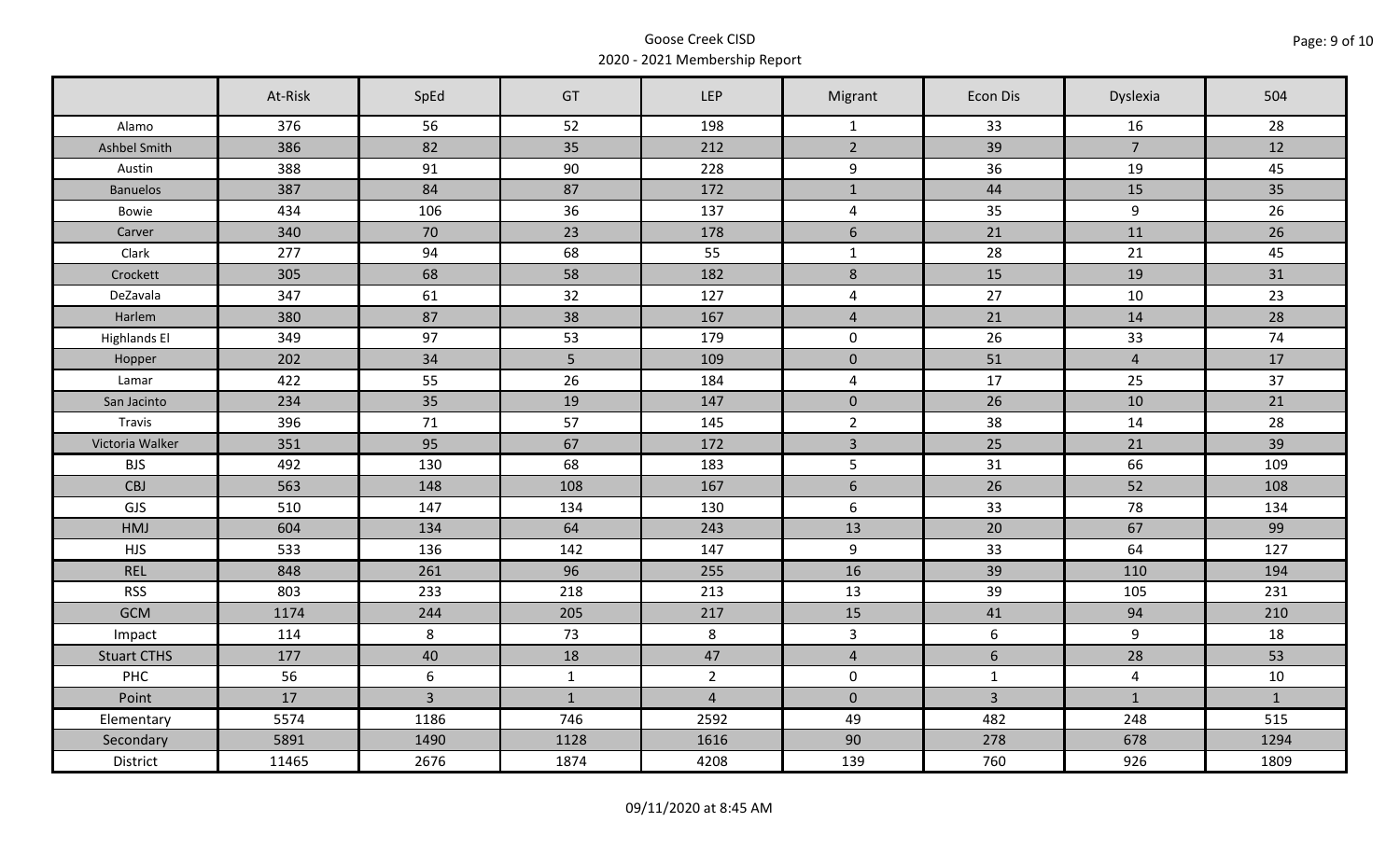|                     | At-Risk | SpEd           | GT             | LEP            | Migrant                 | Econ Dis       | Dyslexia       | 504          |
|---------------------|---------|----------------|----------------|----------------|-------------------------|----------------|----------------|--------------|
| Alamo               | 376     | 56             | 52             | 198            | $\mathbf{1}$            | 33             | 16             | 28           |
| Ashbel Smith        | 386     | 82             | 35             | 212            | $\overline{2}$          | 39             | $\overline{7}$ | 12           |
| Austin              | 388     | 91             | 90             | 228            | 9                       | 36             | 19             | 45           |
| <b>Banuelos</b>     | 387     | 84             | 87             | 172            | $\mathbf 1$             | 44             | 15             | 35           |
| Bowie               | 434     | 106            | 36             | 137            | $\overline{\mathbf{4}}$ | 35             | 9              | 26           |
| Carver              | 340     | 70             | 23             | 178            | $6\phantom{1}$          | 21             | 11             | 26           |
| Clark               | 277     | 94             | 68             | 55             | $\mathbf 1$             | 28             | 21             | 45           |
| Crockett            | 305     | 68             | 58             | 182            | $\bf 8$                 | 15             | 19             | 31           |
| DeZavala            | 347     | 61             | 32             | 127            | $\overline{4}$          | 27             | 10             | 23           |
| Harlem              | 380     | 87             | 38             | 167            | $\overline{4}$          | 21             | 14             | 28           |
| <b>Highlands El</b> | 349     | 97             | 53             | 179            | $\mathsf{O}$            | 26             | 33             | 74           |
| Hopper              | 202     | 34             | 5 <sub>5</sub> | 109            | $\mathbf 0$             | 51             | $\overline{4}$ | 17           |
| Lamar               | 422     | 55             | 26             | 184            | $\overline{\mathbf{4}}$ | 17             | 25             | 37           |
| San Jacinto         | 234     | 35             | 19             | 147            | $\mathbf 0$             | 26             | 10             | 21           |
| Travis              | 396     | 71             | 57             | 145            | $\overline{2}$          | 38             | 14             | 28           |
| Victoria Walker     | 351     | 95             | 67             | 172            | $\overline{3}$          | 25             | 21             | 39           |
| <b>BJS</b>          | 492     | 130            | 68             | 183            | 5                       | 31             | 66             | 109          |
| CBJ                 | 563     | 148            | 108            | 167            | $\sqrt{6}$              | 26             | 52             | 108          |
| GJS                 | 510     | 147            | 134            | 130            | 6                       | 33             | 78             | 134          |
| <b>HMJ</b>          | 604     | 134            | 64             | 243            | 13                      | 20             | 67             | 99           |
| <b>HJS</b>          | 533     | 136            | 142            | 147            | 9                       | 33             | 64             | 127          |
| <b>REL</b>          | 848     | 261            | 96             | 255            | 16                      | 39             | 110            | 194          |
| <b>RSS</b>          | 803     | 233            | 218            | 213            | 13                      | 39             | 105            | 231          |
| <b>GCM</b>          | 1174    | 244            | 205            | 217            | 15                      | 41             | 94             | 210          |
| Impact              | 114     | 8              | 73             | 8              | $\overline{3}$          | 6              | $\overline{9}$ | 18           |
| <b>Stuart CTHS</b>  | 177     | 40             | 18             | 47             | $\overline{4}$          | 6              | 28             | 53           |
| PHC                 | 56      | 6              | $\mathbf{1}$   | $\overline{2}$ | $\mathbf 0$             | $\mathbf{1}$   | $\overline{4}$ | 10           |
| Point               | 17      | $\overline{3}$ | $\mathbf{1}$   | $\overline{4}$ | $\mathbf{0}$            | $\overline{3}$ | $\mathbf{1}$   | $\mathbf{1}$ |
| Elementary          | 5574    | 1186           | 746            | 2592           | 49                      | 482            | 248            | 515          |
| Secondary           | 5891    | 1490           | 1128           | 1616           | 90                      | 278            | 678            | 1294         |
| District            | 11465   | 2676           | 1874           | 4208           | 139                     | 760            | 926            | 1809         |